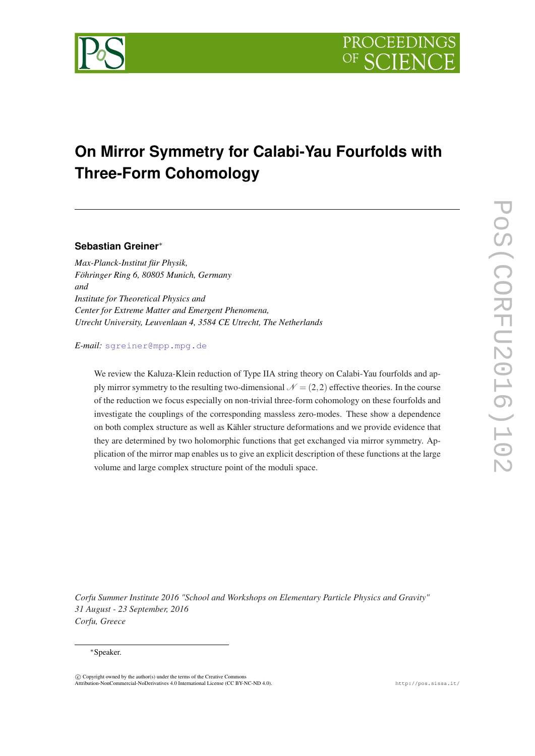

# **On Mirror Symmetry for Calabi-Yau Fourfolds with Three-Form Cohomology**

## **Sebastian Greiner**<sup>∗</sup>

*Max-Planck-Institut für Physik, Föhringer Ring 6, 80805 Munich, Germany and Institute for Theoretical Physics and Center for Extreme Matter and Emergent Phenomena, Utrecht University, Leuvenlaan 4, 3584 CE Utrecht, The Netherlands*

*E-mail:* [sgreiner@mpp.mpg.de](mailto:sgreiner@mpp.mpg.de)

We review the Kaluza-Klein reduction of Type IIA string theory on Calabi-Yau fourfolds and apply mirror symmetry to the resulting two-dimensional  $\mathcal{N} = (2,2)$  effective theories. In the course of the reduction we focus especially on non-trivial three-form cohomology on these fourfolds and investigate the couplings of the corresponding massless zero-modes. These show a dependence on both complex structure as well as Kähler structure deformations and we provide evidence that they are determined by two holomorphic functions that get exchanged via mirror symmetry. Application of the mirror map enables us to give an explicit description of these functions at the large volume and large complex structure point of the moduli space.

*Corfu Summer Institute 2016 "School and Workshops on Elementary Particle Physics and Gravity" 31 August - 23 September, 2016 Corfu, Greece*

#### <sup>∗</sup>Speaker.

 $(C)$  Copyright owned by the author(s) under the terms of the Creative Common Attribution-NonCommercial-NoDerivatives 4.0 International License (CC BY-NC-ND 4.0). http://pos.sissa.it/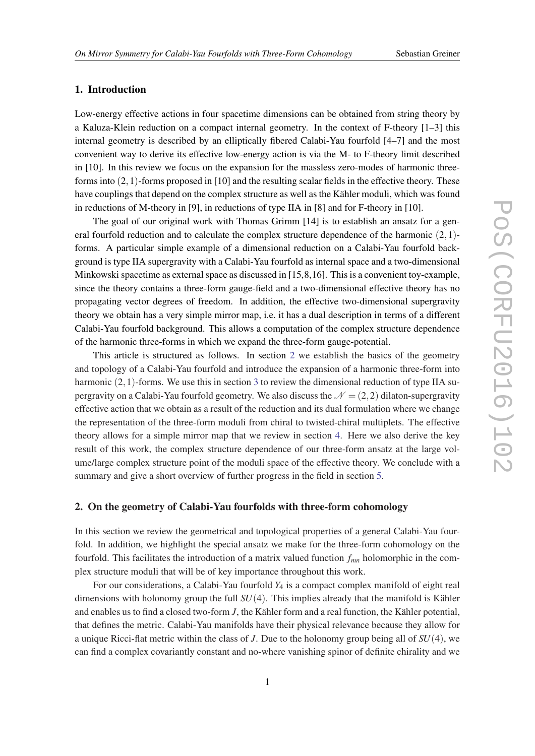## 1. Introduction

Low-energy effective actions in four spacetime dimensions can be obtained from string theory by a Kaluza-Klein reduction on a compact internal geometry. In the context of F-theory [1–3] this internal geometry is described by an elliptically fibered Calabi-Yau fourfold [4–7] and the most convenient way to derive its effective low-energy action is via the M- to F-theory limit described in [10]. In this review we focus on the expansion for the massless zero-modes of harmonic threeforms into  $(2,1)$ -forms proposed in [10] and the resulting scalar fields in the effective theory. These have couplings that depend on the complex structure as well as the Kähler moduli, which was found in reductions of M-theory in [9], in reductions of type IIA in [8] and for F-theory in [10].

The goal of our original work with Thomas Grimm [14] is to establish an ansatz for a general fourfold reduction and to calculate the complex structure dependence of the harmonic  $(2,1)$ forms. A particular simple example of a dimensional reduction on a Calabi-Yau fourfold background is type IIA supergravity with a Calabi-Yau fourfold as internal space and a two-dimensional Minkowski spacetime as external space as discussed in [15,8,16]. This is a convenient toy-example, since the theory contains a three-form gauge-field and a two-dimensional effective theory has no propagating vector degrees of freedom. In addition, the effective two-dimensional supergravity theory we obtain has a very simple mirror map, i.e. it has a dual description in terms of a different Calabi-Yau fourfold background. This allows a computation of the complex structure dependence of the harmonic three-forms in which we expand the three-form gauge-potential.

This article is structured as follows. In section 2 we establish the basics of the geometry and topology of a Calabi-Yau fourfold and introduce the expansion of a harmonic three-form into harmonic  $(2,1)$ -forms. We use this in section [3](#page-3-0) to review the dimensional reduction of type IIA supergravity on a Calabi-Yau fourfold geometry. We also discuss the  $\mathcal{N} = (2,2)$  dilaton-supergravity effective action that we obtain as a result of the reduction and its dual formulation where we change the representation of the three-form moduli from chiral to twisted-chiral multiplets. The effective theory allows for a simple mirror map that we review in section [4](#page-6-0). Here we also derive the key result of this work, the complex structure dependence of our three-form ansatz at the large volume/large complex structure point of the moduli space of the effective theory. We conclude with a summary and give a short overview of further progress in the field in section [5.](#page-7-0)

## 2. On the geometry of Calabi-Yau fourfolds with three-form cohomology

In this section we review the geometrical and topological properties of a general Calabi-Yau fourfold. In addition, we highlight the special ansatz we make for the three-form cohomology on the fourfold. This facilitates the introduction of a matrix valued function *fmn* holomorphic in the complex structure moduli that will be of key importance throughout this work.

For our considerations, a Calabi-Yau fourfold *Y*<sup>4</sup> is a compact complex manifold of eight real dimensions with holonomy group the full *SU*(4). This implies already that the manifold is Kähler and enables us to find a closed two-form *J*, the Kähler form and a real function, the Kähler potential, that defines the metric. Calabi-Yau manifolds have their physical relevance because they allow for a unique Ricci-flat metric within the class of *J*. Due to the holonomy group being all of *SU*(4), we can find a complex covariantly constant and no-where vanishing spinor of definite chirality and we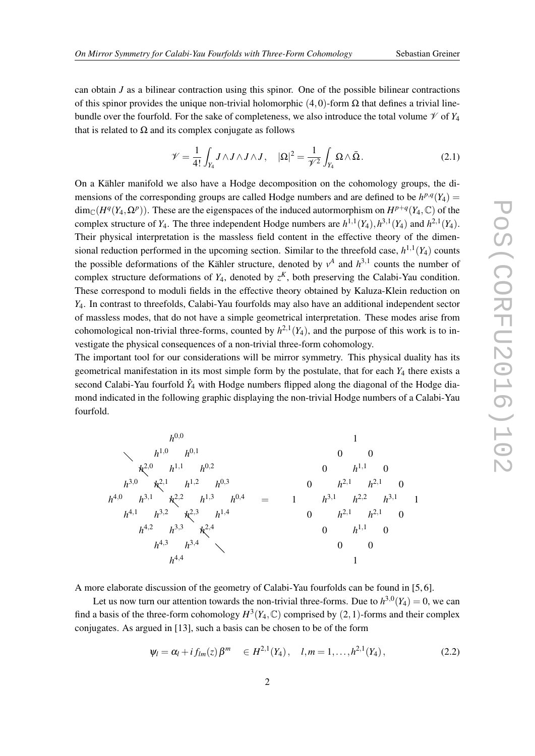can obtain *J* as a bilinear contraction using this spinor. One of the possible bilinear contractions of this spinor provides the unique non-trivial holomorphic  $(4,0)$ -form  $\Omega$  that defines a trivial linebundle over the fourfold. For the sake of completeness, we also introduce the total volume  $\mathcal V$  of  $Y_4$ that is related to  $\Omega$  and its complex conjugate as follows

$$
\mathscr{V} = \frac{1}{4!} \int_{Y_4} J \wedge J \wedge J \wedge J, \quad |\Omega|^2 = \frac{1}{\mathscr{V}^2} \int_{Y_4} \Omega \wedge \bar{\Omega}.
$$
 (2.1)

On a Kähler manifold we also have a Hodge decomposition on the cohomology groups, the dimensions of the corresponding groups are called Hodge numbers and are defined to be  $h^{p,q}(Y_4)$  $\dim_{\mathbb{C}}(H^q(Y_4, \Omega^p))$ . These are the eigenspaces of the induced autormorphism on  $H^{p+q}(Y_4, \mathbb{C})$  of the complex structure of  $Y_4$ . The three independent Hodge numbers are  $h^{1,1}(Y_4)$ ,  $h^{3,1}(Y_4)$  and  $h^{2,1}(Y_4)$ . Their physical interpretation is the massless field content in the effective theory of the dimensional reduction performed in the upcoming section. Similar to the threefold case,  $h^{1,1}(Y_4)$  counts the possible deformations of the Kähler structure, denoted by  $v^A$  and  $h^{3,1}$  counts the number of complex structure deformations of  $Y_4$ , denoted by  $z^K$ , both preserving the Calabi-Yau condition. These correspond to moduli fields in the effective theory obtained by Kaluza-Klein reduction on *Y*4. In contrast to threefolds, Calabi-Yau fourfolds may also have an additional independent sector of massless modes, that do not have a simple geometrical interpretation. These modes arise from cohomological non-trivial three-forms, counted by  $h^{2,1}(Y_4)$ , and the purpose of this work is to investigate the physical consequences of a non-trivial three-form cohomology.

The important tool for our considerations will be mirror symmetry. This physical duality has its geometrical manifestation in its most simple form by the postulate, that for each *Y*<sup>4</sup> there exists a second Calabi-Yau fourfold  $\hat{Y}_4$  with Hodge numbers flipped along the diagonal of the Hodge diamond indicated in the following graphic displaying the non-trivial Hodge numbers of a Calabi-Yau fourfold.

$$
h^{0,0} \t\t 1
$$
  
\n
$$
h^{1,0} \t h^{0,1} \t 0
$$
  
\n
$$
h^{2,0} \t h^{1,1} \t h^{0,2}
$$
  
\n
$$
h^{3,0} \t k^{2,1} \t h^{1,2} \t h^{0,3}
$$
  
\n
$$
h^{4,0} \t h^{3,1} \t k^{2,2} \t h^{1,3} \t h^{0,4} = 1 \t h^{3,1} \t h^{2,2} \t h^{3,1} \t 1
$$
  
\n
$$
h^{4,2} \t h^{3,3} \t k^{2,4}
$$
  
\n
$$
h^{4,3} \t h^{3,4}
$$
  
\n
$$
h^{4,4} \t 1
$$
  
\n
$$
h^{4,4} \t 1
$$
  
\n
$$
h^{4,4} \t 1
$$
  
\n
$$
h^{4,4} \t 1
$$
  
\n
$$
h^{4,4} \t 1
$$
  
\n
$$
h^{4,4} \t 1
$$

A more elaborate discussion of the geometry of Calabi-Yau fourfolds can be found in [5, 6].

Let us now turn our attention towards the non-trivial three-forms. Due to  $h^{3,0}(Y_4) = 0$ , we can find a basis of the three-form cohomology  $H^3(Y_4, \mathbb{C})$  comprised by  $(2,1)$ -forms and their complex conjugates. As argued in [13], such a basis can be chosen to be of the form

$$
\psi_l = \alpha_l + i f_{lm}(z) \beta^m \quad \in H^{2,1}(Y_4), \quad l,m = 1,\ldots,h^{2,1}(Y_4), \tag{2.2}
$$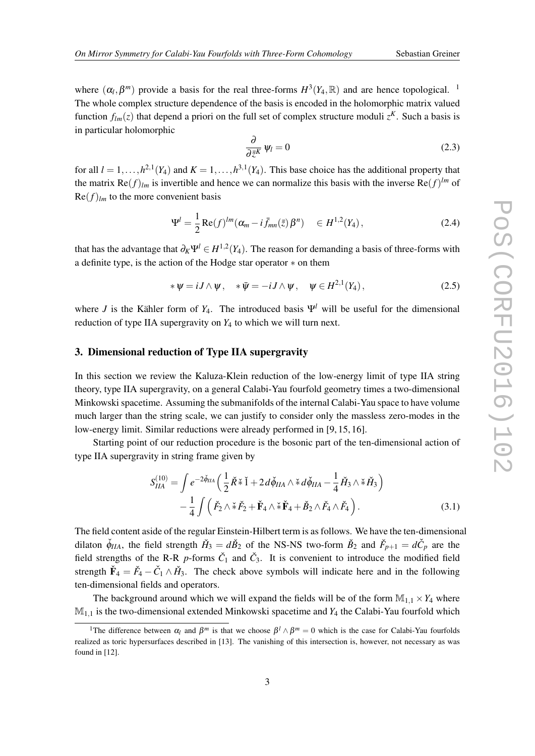<span id="page-3-0"></span>where  $(\alpha_l, \beta^m)$  provide a basis for the real three-forms  $H^3(Y_4, \mathbb{R})$  and are hence topological. <sup>1</sup> The whole complex structure dependence of the basis is encoded in the holomorphic matrix valued function  $f_{lm}(z)$  that depend a priori on the full set of complex structure moduli  $z^{K}$ . Such a basis is in particular holomorphic

$$
\frac{\partial}{\partial \bar{z}^K} \psi_l = 0 \tag{2.3}
$$

for all  $l = 1, ..., h^{2,1}(Y_4)$  and  $K = 1, ..., h^{3,1}(Y_4)$ . This base choice has the additional property that the matrix  $\text{Re}(f)_{lm}$  is invertible and hence we can normalize this basis with the inverse  $\text{Re}(f)^{lm}$  of  $\text{Re}(f)_{lm}$  to the more convenient basis

$$
\Psi^{l} = \frac{1}{2} \text{Re}(f)^{lm} (\alpha_m - i \bar{f}_{mn}(\bar{z}) \beta^n) \quad \in H^{1,2}(Y_4), \tag{2.4}
$$

that has the advantage that  $\partial_K \Psi^l \in H^{1,2}(Y_4)$ . The reason for demanding a basis of three-forms with a definite type, is the action of the Hodge star operator ∗ on them

$$
*\psi = iJ \wedge \psi, \quad *\bar{\psi} = -iJ \wedge \psi, \quad \psi \in H^{2,1}(Y_4), \tag{2.5}
$$

where *J* is the Kähler form of  $Y_4$ . The introduced basis  $\Psi^l$  will be useful for the dimensional reduction of type IIA supergravity on *Y*<sup>4</sup> to which we will turn next.

#### 3. Dimensional reduction of Type IIA supergravity

In this section we review the Kaluza-Klein reduction of the low-energy limit of type IIA string theory, type IIA supergravity, on a general Calabi-Yau fourfold geometry times a two-dimensional Minkowski spacetime. Assuming the submanifolds of the internal Calabi-Yau space to have volume much larger than the string scale, we can justify to consider only the massless zero-modes in the low-energy limit. Similar reductions were already performed in [9, 15, 16].

Starting point of our reduction procedure is the bosonic part of the ten-dimensional action of type IIA supergravity in string frame given by

$$
S_{IIA}^{(10)} = \int e^{-2\check{\phi}_{IIA}} \left( \frac{1}{2} \check{R} \check{*} \check{1} + 2 d\check{\phi}_{IIA} \wedge \check{*} d\check{\phi}_{IIA} - \frac{1}{4} \check{H}_3 \wedge \check{*} \check{H}_3 \right) - \frac{1}{4} \int \left( \check{F}_2 \wedge \check{*} \check{F}_2 + \check{F}_4 \wedge \check{*} \check{F}_4 + \check{B}_2 \wedge \check{F}_4 \wedge \check{F}_4 \right).
$$
 (3.1)

The field content aside of the regular Einstein-Hilbert term is as follows. We have the ten-dimensional dilaton  $\check{\phi}_{IIA}$ , the field strength  $\check{H}_3 = d\check{B}_2$  of the NS-NS two-form  $\check{B}_2$  and  $\check{F}_{p+1} = d\check{C}_p$  are the field strengths of the R-R *p*-forms  $\check{C}_1$  and  $\check{C}_3$ . It is convenient to introduce the modified field strength  $\check{F}_4 = \check{F}_4 - \check{C}_1 \wedge \check{H}_3$ . The check above symbols will indicate here and in the following ten-dimensional fields and operators.

The background around which we will expand the fields will be of the form  $\mathbb{M}_{1,1} \times Y_4$  where  $M<sub>1,1</sub>$  is the two-dimensional extended Minkowski spacetime and  $Y<sub>4</sub>$  the Calabi-Yau fourfold which

<sup>&</sup>lt;sup>1</sup>The difference between  $\alpha_l$  and  $\beta^m$  is that we choose  $\beta^l \wedge \beta^m = 0$  which is the case for Calabi-Yau fourfolds realized as toric hypersurfaces described in [13]. The vanishing of this intersection is, however, not necessary as was found in [12].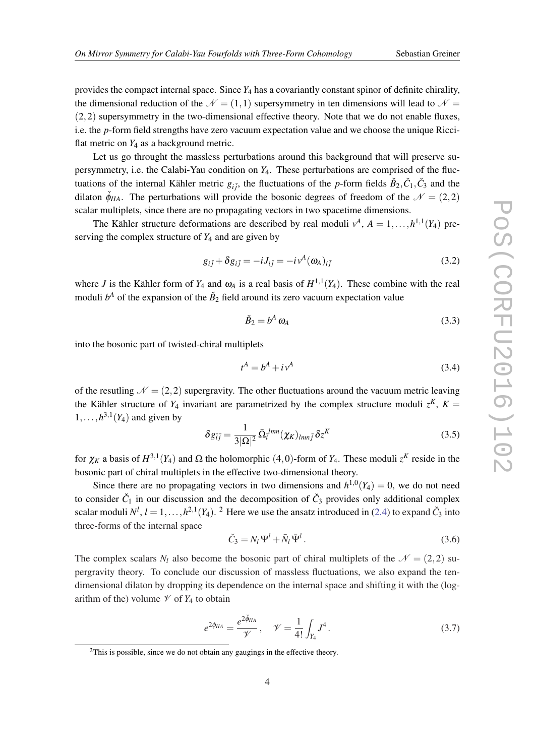provides the compact internal space. Since *Y*<sup>4</sup> has a covariantly constant spinor of definite chirality, the dimensional reduction of the  $\mathcal{N} = (1,1)$  supersymmetry in ten dimensions will lead to  $\mathcal{N} =$  $(2,2)$  supersymmetry in the two-dimensional effective theory. Note that we do not enable fluxes, i.e. the *p*-form field strengths have zero vacuum expectation value and we choose the unique Ricciflat metric on  $Y_4$  as a background metric.

Let us go throught the massless perturbations around this background that will preserve supersymmetry, i.e. the Calabi-Yau condition on *Y*4. These perturbations are comprised of the fluctuations of the internal Kähler metric  $g_{i\bar{j}}$ , the fluctuations of the *p*-form fields  $\check{B}_2, \check{C}_1, \check{C}_3$  and the dilaton  $\check{\phi}_{IIA}$ . The perturbations will provide the bosonic degrees of freedom of the  $\mathcal{N} = (2,2)$ scalar multiplets, since there are no propagating vectors in two spacetime dimensions.

The Kähler structure deformations are described by real moduli  $v^A$ ,  $A = 1, ..., h^{1,1}(Y_4)$  preserving the complex structure of *Y*<sup>4</sup> and are given by

$$
g_{i\bar{j}} + \delta g_{i\bar{j}} = -iJ_{i\bar{j}} = -i\nu^{A}(\omega_{A})_{i\bar{j}}
$$
\n(3.2)

where *J* is the Kähler form of  $Y_4$  and  $\omega_A$  is a real basis of  $H^{1,1}(Y_4)$ . These combine with the real moduli  $b^A$  of the expansion of the  $\check{B}_2$  field around its zero vacuum expectation value

$$
\check{B}_2 = b^A \omega_A \tag{3.3}
$$

into the bosonic part of twisted-chiral multiplets

$$
t^A = b^A + i v^A \tag{3.4}
$$

of the resutling  $\mathcal{N} = (2,2)$  supergravity. The other fluctuations around the vacuum metric leaving the Kähler structure of  $Y_4$  invariant are parametrized by the complex structure moduli  $z^K$ ,  $K =$  $1, \ldots, h^{3,1}(Y_4)$  and given by

$$
\delta g_{\bar{i}\bar{j}} = \frac{1}{3|\Omega|^2} \bar{\Omega}_i^{lmn} (\chi_K)_{lmn\bar{j}} \delta z^K
$$
\n(3.5)

for  $\chi_K$  a basis of  $H^{3,1}(Y_4)$  and  $\Omega$  the holomorphic  $(4,0)$ -form of  $Y_4$ . These moduli  $z^K$  reside in the bosonic part of chiral multiplets in the effective two-dimensional theory.

Since there are no propagating vectors in two dimensions and  $h^{1,0}(Y_4) = 0$ , we do not need to consider  $\check{C}_1$  in our discussion and the decomposition of  $\check{C}_3$  provides only additional complex scalar moduli  $N^l$ ,  $l = 1, ..., h^{2,1}(Y_4)$ . <sup>2</sup> Here we use the ansatz introduced in [\(2.4\)](#page-3-0) to expand  $\check{C}_3$  into three-forms of the internal space

$$
\check{C}_3 = N_l \Psi^l + \bar{N}_l \bar{\Psi}^l \,. \tag{3.6}
$$

The complex scalars  $N_l$  also become the bosonic part of chiral multiplets of the  $\mathcal{N} = (2,2)$  supergravity theory. To conclude our discussion of massless fluctuations, we also expand the tendimensional dilaton by dropping its dependence on the internal space and shifting it with the (logarithm of the) volume  $\mathcal V$  of  $Y_4$  to obtain

$$
e^{2\phi_{IIA}} = \frac{e^{2\check{\phi}_{IIA}}}{\mathcal{V}}, \quad \mathcal{V} = \frac{1}{4!} \int_{Y_4} J^4.
$$
 (3.7)

<sup>&</sup>lt;sup>2</sup>This is possible, since we do not obtain any gaugings in the effective theory.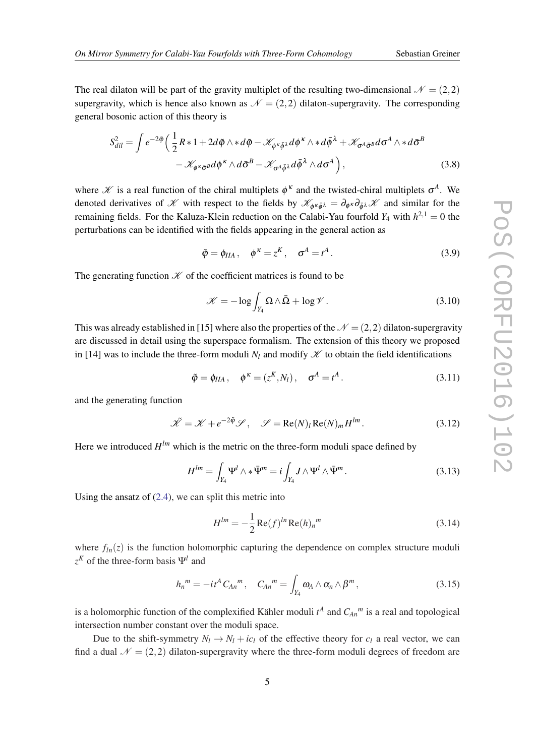<span id="page-5-0"></span>The real dilaton will be part of the gravity multiplet of the resulting two-dimensional  $\mathcal{N} = (2,2)$ supergravity, which is hence also known as  $\mathcal{N} = (2,2)$  dilaton-supergravity. The corresponding general bosonic action of this theory is

$$
S_{dil}^{2} = \int e^{-2\tilde{\phi}} \left( \frac{1}{2} R \ast 1 + 2d\tilde{\phi} \wedge \ast d\tilde{\phi} - \mathcal{K}_{\phi^{\kappa} \bar{\phi}^{\lambda}} d\phi^{\kappa} \wedge \ast d\bar{\phi}^{\lambda} + \mathcal{K}_{\sigma^{\Lambda} \bar{\sigma}^{\beta}} d\sigma^{\Lambda} \wedge \ast d\bar{\sigma}^{\beta} - \mathcal{K}_{\phi^{\kappa} \bar{\sigma}^{\beta}} d\phi^{\kappa} \wedge d\bar{\sigma}^{\beta} - \mathcal{K}_{\sigma^{\Lambda} \bar{\phi}^{\lambda}} d\bar{\phi}^{\lambda} \wedge d\sigma^{\Lambda} \right), \tag{3.8}
$$

where  $\mathscr K$  is a real function of the chiral multiplets  $\phi^k$  and the twisted-chiral multiplets  $\sigma^A$ . We denoted derivatives of X with respect to the fields by  $\mathscr{K}_{\phi^\kappa \bar{\phi}^\lambda} = \partial_{\phi^\kappa} \partial_{\bar{\phi}^\lambda} \mathscr{K}$  and similar for the remaining fields. For the Kaluza-Klein reduction on the Calabi-Yau fourfold  $Y_4$  with  $h^{2,1} = 0$  the perturbations can be identified with the fields appearing in the general action as

$$
\tilde{\varphi} = \phi_{IIA}, \quad \phi^{\kappa} = z^K, \quad \sigma^A = t^A. \tag{3.9}
$$

The generating function  $K$  of the coefficient matrices is found to be

$$
\mathcal{K} = -\log \int_{Y_4} \Omega \wedge \bar{\Omega} + \log \mathcal{V} \,. \tag{3.10}
$$

This was already established in [15] where also the properties of the  $\mathcal{N} = (2,2)$  dilaton-supergravity are discussed in detail using the superspace formalism. The extension of this theory we proposed in [14] was to include the three-form moduli  $N_l$  and modify  $\mathscr K$  to obtain the field identifications

$$
\tilde{\varphi} = \phi_{IIA}, \quad \varphi^{\kappa} = (z^{K}, N_{I}), \quad \sigma^{A} = t^{A}. \tag{3.11}
$$

and the generating function

$$
\tilde{\mathcal{K}} = \mathcal{K} + e^{-2\tilde{\phi}} \mathcal{S}, \quad \mathcal{S} = \text{Re}(N)_l \text{Re}(N)_m H^{lm}.
$$
 (3.12)

Here we introduced  $H^{lm}$  which is the metric on the three-form moduli space defined by

$$
H^{lm} = \int_{Y_4} \Psi^l \wedge * \bar{\Psi}^m = i \int_{Y_4} J \wedge \Psi^l \wedge \bar{\Psi}^m.
$$
 (3.13)

Using the ansatz of  $(2.4)$  $(2.4)$  $(2.4)$ , we can split this metric into

$$
H^{lm} = -\frac{1}{2} \operatorname{Re}(f)^{ln} \operatorname{Re}(h)_{n}^{m}
$$
 (3.14)

where  $f_{ln}(z)$  is the function holomorphic capturing the dependence on complex structure moduli  $z^K$  of the three-form basis  $\Psi^l$  and

$$
h_n{}^m = -it^A C_{An}{}^m, \quad C_{An}{}^m = \int_{Y_4} \omega_A \wedge \alpha_n \wedge \beta^m, \qquad (3.15)
$$

is a holomorphic function of the complexified Kähler moduli  $t^A$  and  $C_{An}$ <sup>*m*</sup> is a real and topological intersection number constant over the moduli space.

Due to the shift-symmetry  $N_l \rightarrow N_l + ic_l$  of the effective theory for  $c_l$  a real vector, we can find a dual  $\mathcal{N} = (2,2)$  dilaton-supergravity where the three-form moduli degrees of freedom are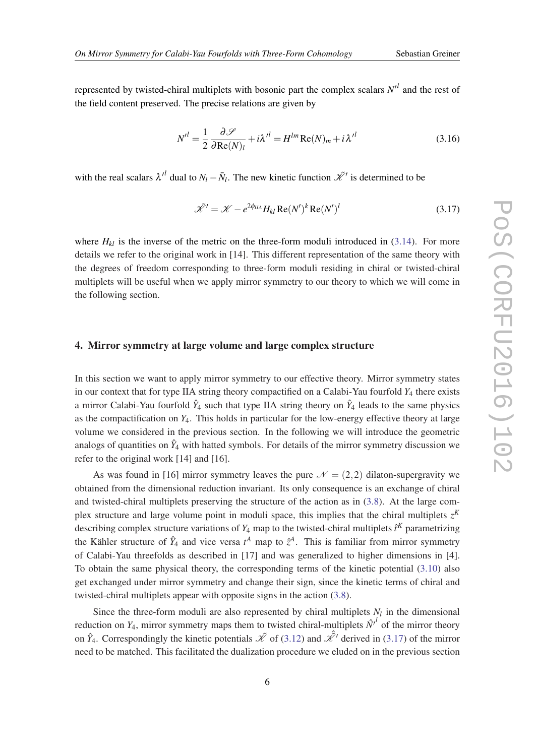<span id="page-6-0"></span>represented by twisted-chiral multiplets with bosonic part the complex scalars  $N<sup>l</sup>$  and the rest of the field content preserved. The precise relations are given by

$$
N^{\prime l} = \frac{1}{2} \frac{\partial \mathcal{L}}{\partial \text{Re}(N)_l} + i\lambda^{\prime l} = H^{lm} \text{Re}(N)_m + i\lambda^{\prime l}
$$
 (3.16)

with the real scalars  $\lambda^{l}$  dual to  $N_l - \bar{N}_l$ . The new kinetic function  $\tilde{\mathcal{K}}'$  is determined to be

$$
\tilde{\mathcal{K}}' = \mathcal{K} - e^{2\phi_{IIA}} H_{kl} \operatorname{Re}(N')^k \operatorname{Re}(N')^l \tag{3.17}
$$

where  $H_{kl}$  is the inverse of the metric on the three-form moduli introduced in ([3.14](#page-5-0)). For more details we refer to the original work in [14]. This different representation of the same theory with the degrees of freedom corresponding to three-form moduli residing in chiral or twisted-chiral multiplets will be useful when we apply mirror symmetry to our theory to which we will come in the following section.

#### 4. Mirror symmetry at large volume and large complex structure

In this section we want to apply mirror symmetry to our effective theory. Mirror symmetry states in our context that for type IIA string theory compactified on a Calabi-Yau fourfold *Y*<sup>4</sup> there exists a mirror Calabi-Yau fourfold  $\hat{Y}_4$  such that type IIA string theory on  $\hat{Y}_4$  leads to the same physics as the compactification on *Y*4. This holds in particular for the low-energy effective theory at large volume we considered in the previous section. In the following we will introduce the geometric analogs of quantities on  $\hat{Y}_4$  with hatted symbols. For details of the mirror symmetry discussion we refer to the original work [14] and [16].

As was found in [16] mirror symmetry leaves the pure  $\mathcal{N} = (2,2)$  dilaton-supergravity we obtained from the dimensional reduction invariant. Its only consequence is an exchange of chiral and twisted-chiral multiplets preserving the structure of the action as in [\(3.8\)](#page-5-0). At the large complex structure and large volume point in moduli space, this implies that the chiral multiplets  $z<sup>K</sup>$ describing complex structure variations of  $Y_4$  map to the twisted-chiral multiplets  $\hat{t}^K$  parametrizing the Kähler structure of  $\hat{Y}_4$  and vice versa  $t^A$  map to  $\hat{z}^A$ . This is familiar from mirror symmetry of Calabi-Yau threefolds as described in [17] and was generalized to higher dimensions in [4]. To obtain the same physical theory, the corresponding terms of the kinetic potential ([3.10\)](#page-5-0) also get exchanged under mirror symmetry and change their sign, since the kinetic terms of chiral and twisted-chiral multiplets appear with opposite signs in the action [\(3.8](#page-5-0)).

Since the three-form moduli are also represented by chiral multiplets  $N_l$  in the dimensional reduction on  $Y_4$ , mirror symmetry maps them to twisted chiral-multiplets  $\hat{N}^{l}$  of the mirror theory on  $\hat{Y}_4$ . Correspondingly the kinetic potentials  $\tilde{X}$  of [\(3.12](#page-5-0)) and  $\hat{\mathcal{X}}'$  derived in (3.17) of the mirror need to be matched. This facilitated the dualization procedure we eluded on in the previous section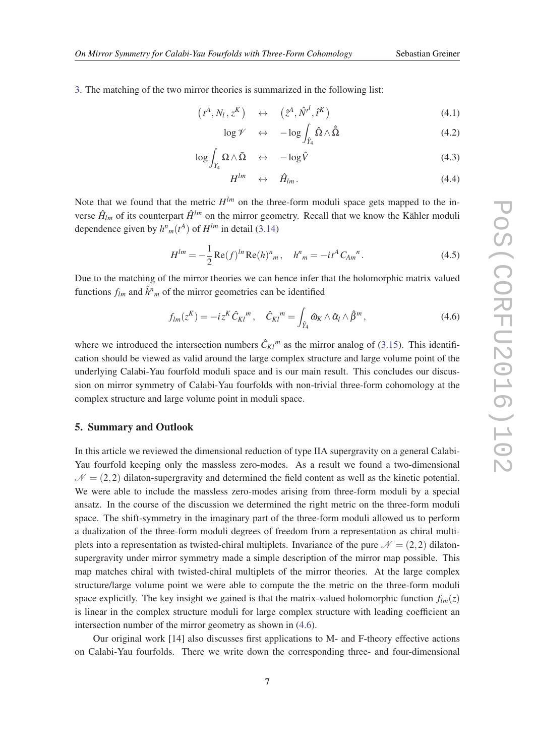<span id="page-7-0"></span>[3.](#page-3-0) The matching of the two mirror theories is summarized in the following list:

$$
(t^A, N_l, z^K) \quad \leftrightarrow \quad (\hat{z}^A, \hat{N'}^l, \hat{t}^K) \tag{4.1}
$$

$$
\log \mathscr{V} \quad \leftrightarrow \quad -\log \int_{\hat{Y}_4} \hat{\Omega} \wedge \hat{\Omega} \tag{4.2}
$$

$$
\log \int_{Y_4} \Omega \wedge \bar{\Omega} \quad \leftrightarrow \quad -\log \hat{V} \tag{4.3}
$$

$$
H^{lm} \quad \leftrightarrow \quad \hat{H}_{lm} \,. \tag{4.4}
$$

Note that we found that the metric  $H^{lm}$  on the three-form moduli space gets mapped to the inverse  $\hat{H}_{lm}$  of its counterpart  $\hat{H}^{lm}$  on the mirror geometry. Recall that we know the Kähler moduli dependence given by  $h^n_m(t^A)$  of  $H^{lm}$  in detail ([3.14\)](#page-5-0)

$$
H^{lm} = -\frac{1}{2} \operatorname{Re}(f)^{ln} \operatorname{Re}(h)^{n}{}_{m}, \quad h^{n}{}_{m} = -it^{A} C_{Am}{}^{n}.
$$
 (4.5)

Due to the matching of the mirror theories we can hence infer that the holomorphic matrix valued functions  $f_{lm}$  and  $\hat{h}^n_m$  of the mirror geometries can be identified

$$
f_{lm}(z^K) = -iz^K \hat{C}_{Kl}^m, \quad \hat{C}_{Kl}^m = \int_{\hat{Y}_4} \hat{\omega}_K \wedge \hat{\alpha}_l \wedge \hat{\beta}^m,
$$
\n(4.6)

where we introduced the intersection numbers  $\hat{C}_{Kl}^{m}$  as the mirror analog of [\(3.15](#page-5-0)). This identification should be viewed as valid around the large complex structure and large volume point of the underlying Calabi-Yau fourfold moduli space and is our main result. This concludes our discussion on mirror symmetry of Calabi-Yau fourfolds with non-trivial three-form cohomology at the complex structure and large volume point in moduli space.

## 5. Summary and Outlook

In this article we reviewed the dimensional reduction of type IIA supergravity on a general Calabi-Yau fourfold keeping only the massless zero-modes. As a result we found a two-dimensional  $\mathcal{N} = (2,2)$  dilaton-supergravity and determined the field content as well as the kinetic potential. We were able to include the massless zero-modes arising from three-form moduli by a special ansatz. In the course of the discussion we determined the right metric on the three-form moduli space. The shift-symmetry in the imaginary part of the three-form moduli allowed us to perform a dualization of the three-form moduli degrees of freedom from a representation as chiral multiplets into a representation as twisted-chiral multiplets. Invariance of the pure  $\mathcal{N} = (2,2)$  dilatonsupergravity under mirror symmetry made a simple description of the mirror map possible. This map matches chiral with twisted-chiral multiplets of the mirror theories. At the large complex structure/large volume point we were able to compute the the metric on the three-form moduli space explicitly. The key insight we gained is that the matrix-valued holomorphic function  $f_{lm}(z)$ is linear in the complex structure moduli for large complex structure with leading coefficient an intersection number of the mirror geometry as shown in (4.6).

Our original work [14] also discusses first applications to M- and F-theory effective actions on Calabi-Yau fourfolds. There we write down the corresponding three- and four-dimensional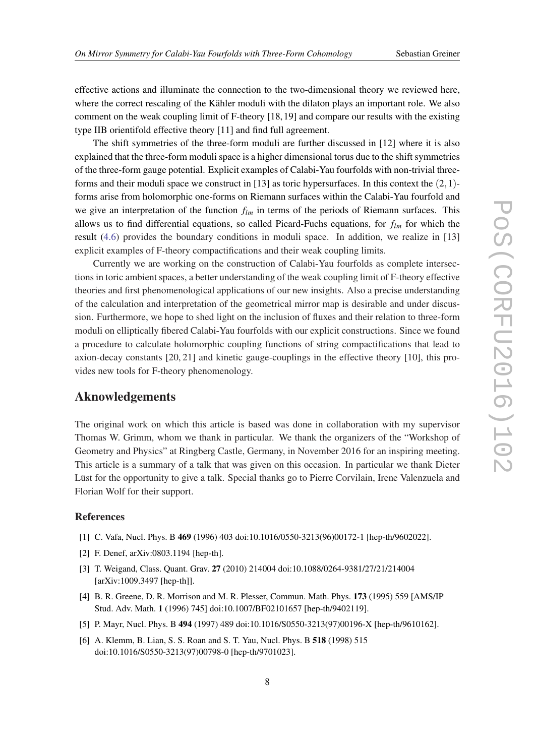effective actions and illuminate the connection to the two-dimensional theory we reviewed here, where the correct rescaling of the Kähler moduli with the dilaton plays an important role. We also comment on the weak coupling limit of F-theory [18, 19] and compare our results with the existing type IIB orientifold effective theory [11] and find full agreement.

The shift symmetries of the three-form moduli are further discussed in [12] where it is also explained that the three-form moduli space is a higher dimensional torus due to the shift symmetries of the three-form gauge potential. Explicit examples of Calabi-Yau fourfolds with non-trivial threeforms and their moduli space we construct in  $[13]$  as toric hypersurfaces. In this context the  $(2,1)$ forms arise from holomorphic one-forms on Riemann surfaces within the Calabi-Yau fourfold and we give an interpretation of the function  $f_{lm}$  in terms of the periods of Riemann surfaces. This allows us to find differential equations, so called Picard-Fuchs equations, for *flm* for which the result [\(4.6](#page-7-0)) provides the boundary conditions in moduli space. In addition, we realize in [13] explicit examples of F-theory compactifications and their weak coupling limits.

Currently we are working on the construction of Calabi-Yau fourfolds as complete intersections in toric ambient spaces, a better understanding of the weak coupling limit of F-theory effective theories and first phenomenological applications of our new insights. Also a precise understanding of the calculation and interpretation of the geometrical mirror map is desirable and under discussion. Furthermore, we hope to shed light on the inclusion of fluxes and their relation to three-form moduli on elliptically fibered Calabi-Yau fourfolds with our explicit constructions. Since we found a procedure to calculate holomorphic coupling functions of string compactifications that lead to axion-decay constants [20, 21] and kinetic gauge-couplings in the effective theory [10], this provides new tools for F-theory phenomenology.

## Aknowledgements

The original work on which this article is based was done in collaboration with my supervisor Thomas W. Grimm, whom we thank in particular. We thank the organizers of the "Workshop of Geometry and Physics" at Ringberg Castle, Germany, in November 2016 for an inspiring meeting. This article is a summary of a talk that was given on this occasion. In particular we thank Dieter Lüst for the opportunity to give a talk. Special thanks go to Pierre Corvilain, Irene Valenzuela and Florian Wolf for their support.

## References

- [1] C. Vafa, Nucl. Phys. B 469 (1996) 403 doi:10.1016/0550-3213(96)00172-1 [hep-th/9602022].
- [2] F. Denef, arXiv:0803.1194 [hep-th].
- [3] T. Weigand, Class. Quant. Grav. 27 (2010) 214004 doi:10.1088/0264-9381/27/21/214004 [arXiv:1009.3497 [hep-th]].
- [4] B. R. Greene, D. R. Morrison and M. R. Plesser, Commun. Math. Phys. 173 (1995) 559 [AMS/IP Stud. Adv. Math. 1 (1996) 745] doi:10.1007/BF02101657 [hep-th/9402119].
- [5] P. Mayr, Nucl. Phys. B 494 (1997) 489 doi:10.1016/S0550-3213(97)00196-X [hep-th/9610162].
- [6] A. Klemm, B. Lian, S. S. Roan and S. T. Yau, Nucl. Phys. B 518 (1998) 515 doi:10.1016/S0550-3213(97)00798-0 [hep-th/9701023].